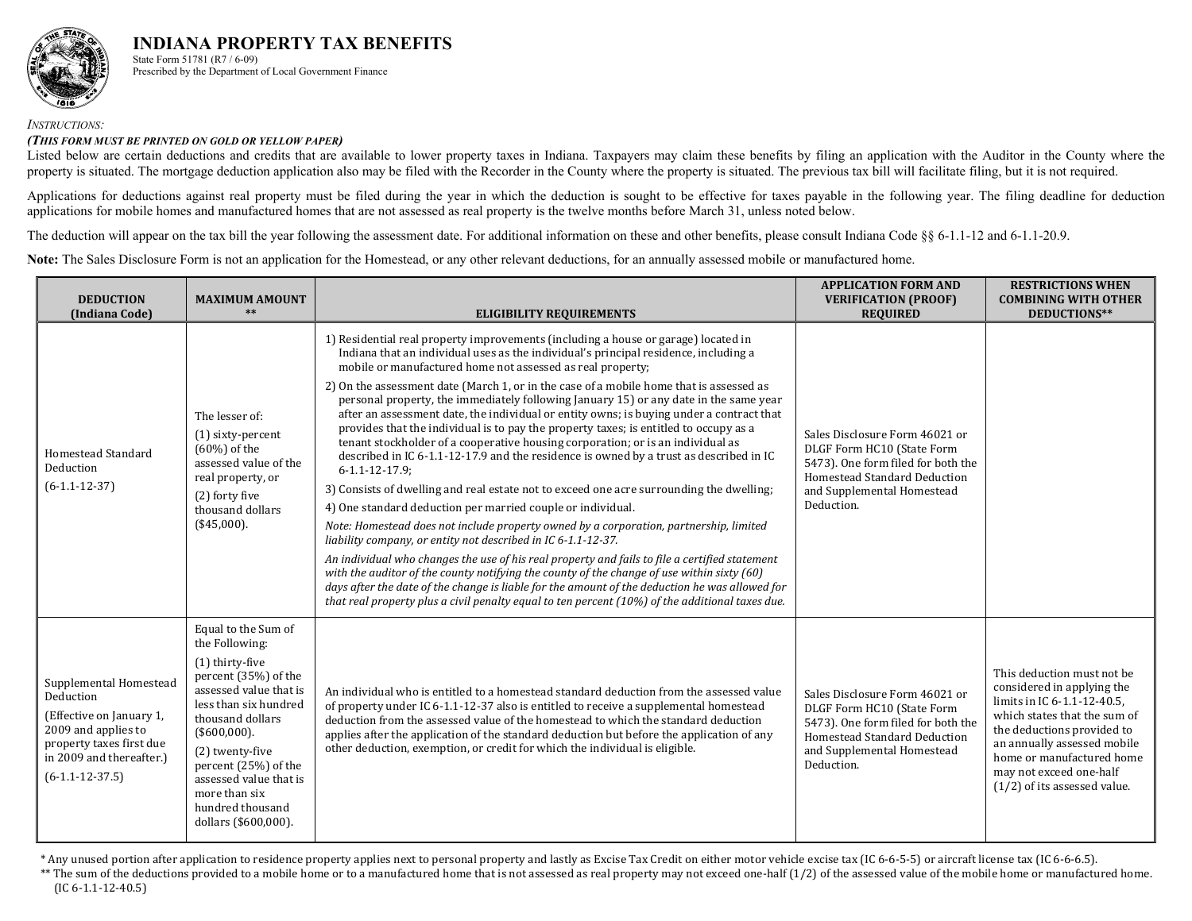

#### *INSTRUCTIONS:*

#### *(THIS FORM MUST BE PRINTED ON GOLD OR YELLOW PAPER)*

Listed below are certain deductions and credits that are available to lower property taxes in Indiana. Taxpayers may claim these benefits by filing an application with the Auditor in the County where the property is situated. The mortgage deduction application also may be filed with the Recorder in the County where the property is situated. The previous tax bill will facilitate filing, but it is not required.

Applications for deductions against real property must be filed during the year in which the deduction is sought to be effective for taxes payable in the following year. The filing deadline for deduction applications for mobile homes and manufactured homes that are not assessed as real property is the twelve months before March 31, unless noted below.

The deduction will appear on the tax bill the year following the assessment date. For additional information on these and other benefits, please consult Indiana Code §§ 6-1.1-12 and 6-1.1-20.9.

Note: The Sales Disclosure Form is not an application for the Homestead, or any other relevant deductions, for an annually assessed mobile or manufactured home.

| <b>DEDUCTION</b><br>(Indiana Code)                                                                                                                                  | <b>MAXIMUM AMOUNT</b><br>$**$                                                                                                                                                                                                                                                                               | <b>ELIGIBILITY REQUIREMENTS</b>                                                                                                                                                                                                                                                                                                                                                                                                                                                                                                                                                                                                                                                                                                                                                                                                                                                                                                                                                                                                                                                                                                                                                                                                                                                                                                                                                                                                                                                                                                                      | <b>APPLICATION FORM AND</b><br><b>VERIFICATION (PROOF)</b><br><b>REQUIRED</b>                                                                                                  | <b>RESTRICTIONS WHEN</b><br><b>COMBINING WITH OTHER</b><br>DEDUCTIONS**                                                                                                                                                                                                        |
|---------------------------------------------------------------------------------------------------------------------------------------------------------------------|-------------------------------------------------------------------------------------------------------------------------------------------------------------------------------------------------------------------------------------------------------------------------------------------------------------|------------------------------------------------------------------------------------------------------------------------------------------------------------------------------------------------------------------------------------------------------------------------------------------------------------------------------------------------------------------------------------------------------------------------------------------------------------------------------------------------------------------------------------------------------------------------------------------------------------------------------------------------------------------------------------------------------------------------------------------------------------------------------------------------------------------------------------------------------------------------------------------------------------------------------------------------------------------------------------------------------------------------------------------------------------------------------------------------------------------------------------------------------------------------------------------------------------------------------------------------------------------------------------------------------------------------------------------------------------------------------------------------------------------------------------------------------------------------------------------------------------------------------------------------------|--------------------------------------------------------------------------------------------------------------------------------------------------------------------------------|--------------------------------------------------------------------------------------------------------------------------------------------------------------------------------------------------------------------------------------------------------------------------------|
| Homestead Standard<br>Deduction<br>$(6-1.1-12-37)$                                                                                                                  | The lesser of:<br>(1) sixty-percent<br>$(60\%)$ of the<br>assessed value of the<br>real property, or<br>(2) forty five<br>thousand dollars<br>(\$45,000).                                                                                                                                                   | 1) Residential real property improvements (including a house or garage) located in<br>Indiana that an individual uses as the individual's principal residence, including a<br>mobile or manufactured home not assessed as real property;<br>2) On the assessment date (March 1, or in the case of a mobile home that is assessed as<br>personal property, the immediately following January 15) or any date in the same year<br>after an assessment date, the individual or entity owns; is buying under a contract that<br>provides that the individual is to pay the property taxes; is entitled to occupy as a<br>tenant stockholder of a cooperative housing corporation; or is an individual as<br>described in IC 6-1.1-12-17.9 and the residence is owned by a trust as described in IC<br>$6 - 1.1 - 12 - 17.9$ ;<br>3) Consists of dwelling and real estate not to exceed one acre surrounding the dwelling;<br>4) One standard deduction per married couple or individual.<br>Note: Homestead does not include property owned by a corporation, partnership, limited<br>liability company, or entity not described in IC 6-1.1-12-37.<br>An individual who changes the use of his real property and fails to file a certified statement<br>with the auditor of the county notifying the county of the change of use within sixty (60)<br>days after the date of the change is liable for the amount of the deduction he was allowed for<br>that real property plus a civil penalty equal to ten percent (10%) of the additional taxes due. | Sales Disclosure Form 46021 or<br>DLGF Form HC10 (State Form<br>5473). One form filed for both the<br>Homestead Standard Deduction<br>and Supplemental Homestead<br>Deduction. |                                                                                                                                                                                                                                                                                |
| Supplemental Homestead<br>Deduction<br>(Effective on January 1,<br>2009 and applies to<br>property taxes first due<br>in 2009 and thereafter.)<br>$(6-1.1-12-37.5)$ | Equal to the Sum of<br>the Following:<br>(1) thirty-five<br>percent (35%) of the<br>assessed value that is<br>less than six hundred<br>thousand dollars<br>$($600,000)$ .<br>(2) twenty-five<br>percent (25%) of the<br>assessed value that is<br>more than six<br>hundred thousand<br>dollars (\$600,000). | An individual who is entitled to a homestead standard deduction from the assessed value<br>of property under IC 6-1.1-12-37 also is entitled to receive a supplemental homestead<br>deduction from the assessed value of the homestead to which the standard deduction<br>applies after the application of the standard deduction but before the application of any<br>other deduction, exemption, or credit for which the individual is eligible.                                                                                                                                                                                                                                                                                                                                                                                                                                                                                                                                                                                                                                                                                                                                                                                                                                                                                                                                                                                                                                                                                                   | Sales Disclosure Form 46021 or<br>DLGF Form HC10 (State Form<br>5473). One form filed for both the<br>Homestead Standard Deduction<br>and Supplemental Homestead<br>Deduction. | This deduction must not be<br>considered in applying the<br>limits in IC 6-1.1-12-40.5,<br>which states that the sum of<br>the deductions provided to<br>an annually assessed mobile<br>home or manufactured home<br>may not exceed one-half<br>$(1/2)$ of its assessed value. |

\* Any unused portion after application to residence property applies next to personal property and lastly as Excise Tax Credit on either motor vehicle excise tax (IC 6‐6‐5‐5) or aircraft license tax (IC 6‐6‐6.5).

\*\* The sum of the deductions provided to a mobile home or to a manufactured home that is not assessed as real property may not exceed one‐half (1/2) of the assessed value of the mobile home or manufactured home. (IC 6‐1.1‐12‐40.5)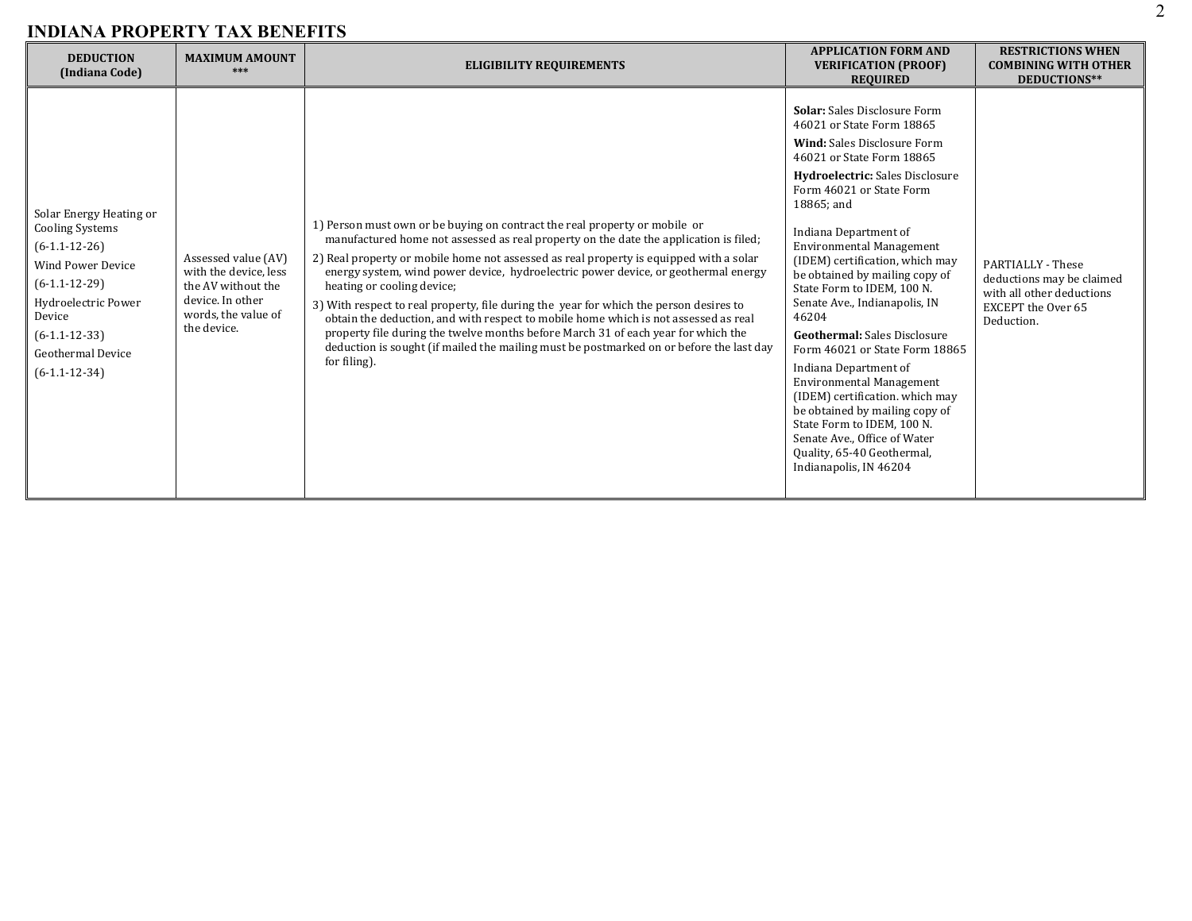| <b>DEDUCTION</b><br>(Indiana Code)                                                                                                                                                                              | <b>MAXIMUM AMOUNT</b><br>***                                                                                                 | <b>ELIGIBILITY REQUIREMENTS</b>                                                                                                                                                                                                                                                                                                                                                                                                                                                                                                                                                                                                                                                                                                                                    | <b>APPLICATION FORM AND</b><br><b>VERIFICATION (PROOF)</b><br><b>REQUIRED</b>                                                                                                                                                                                                                                                                                                                                                                                                                                                                                                                                                                                                                                                                             | <b>RESTRICTIONS WHEN</b><br><b>COMBINING WITH OTHER</b><br>DEDUCTIONS**                                                |
|-----------------------------------------------------------------------------------------------------------------------------------------------------------------------------------------------------------------|------------------------------------------------------------------------------------------------------------------------------|--------------------------------------------------------------------------------------------------------------------------------------------------------------------------------------------------------------------------------------------------------------------------------------------------------------------------------------------------------------------------------------------------------------------------------------------------------------------------------------------------------------------------------------------------------------------------------------------------------------------------------------------------------------------------------------------------------------------------------------------------------------------|-----------------------------------------------------------------------------------------------------------------------------------------------------------------------------------------------------------------------------------------------------------------------------------------------------------------------------------------------------------------------------------------------------------------------------------------------------------------------------------------------------------------------------------------------------------------------------------------------------------------------------------------------------------------------------------------------------------------------------------------------------------|------------------------------------------------------------------------------------------------------------------------|
| Solar Energy Heating or<br><b>Cooling Systems</b><br>$(6-1.1-12-26)$<br><b>Wind Power Device</b><br>$(6-1.1-12-29)$<br>Hydroelectric Power<br>Device<br>$(6-1.1-12-33)$<br>Geothermal Device<br>$(6-1.1-12-34)$ | Assessed value (AV)<br>with the device, less<br>the AV without the<br>device. In other<br>words, the value of<br>the device. | 1) Person must own or be buying on contract the real property or mobile or<br>manufactured home not assessed as real property on the date the application is filed;<br>2) Real property or mobile home not assessed as real property is equipped with a solar<br>energy system, wind power device, hydroelectric power device, or geothermal energy<br>heating or cooling device;<br>3) With respect to real property, file during the year for which the person desires to<br>obtain the deduction, and with respect to mobile home which is not assessed as real<br>property file during the twelve months before March 31 of each year for which the<br>deduction is sought (if mailed the mailing must be postmarked on or before the last day<br>for filing). | <b>Solar:</b> Sales Disclosure Form<br>46021 or State Form 18865<br><b>Wind:</b> Sales Disclosure Form<br>46021 or State Form 18865<br><b>Hydroelectric:</b> Sales Disclosure<br>Form 46021 or State Form<br>18865; and<br>Indiana Department of<br>Environmental Management<br>(IDEM) certification, which may<br>be obtained by mailing copy of<br>State Form to IDEM, 100 N.<br>Senate Ave., Indianapolis, IN<br>46204<br><b>Geothermal:</b> Sales Disclosure<br>Form 46021 or State Form 18865<br>Indiana Department of<br><b>Environmental Management</b><br>(IDEM) certification. which may<br>be obtained by mailing copy of<br>State Form to IDEM, 100 N.<br>Senate Ave., Office of Water<br>Quality, 65-40 Geothermal,<br>Indianapolis, IN 46204 | PARTIALLY - These<br>deductions may be claimed<br>with all other deductions<br><b>EXCEPT</b> the Over 65<br>Deduction. |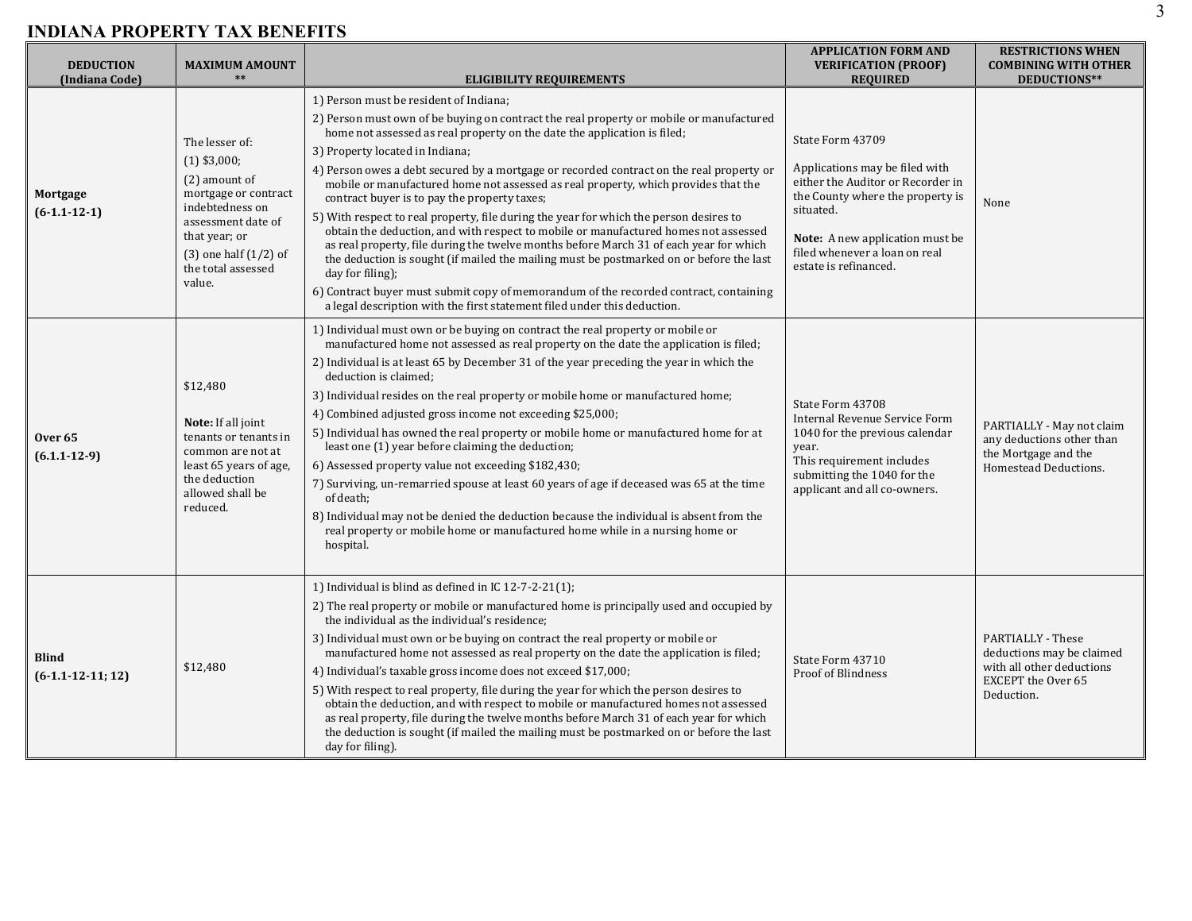| <b>DEDUCTION</b><br>(Indiana Code)       | <b>MAXIMUM AMOUNT</b>                                                                                                                                                                            | <b>ELIGIBILITY REQUIREMENTS</b>                                                                                                                                                                                                                                                                                                                                                                                                                                                                                                                                                                                                                                                                                                                                                                                                                                                                                                                                                                                                                   | <b>APPLICATION FORM AND</b><br><b>VERIFICATION (PROOF)</b><br><b>REQUIRED</b>                                                                                                                                                         | <b>RESTRICTIONS WHEN</b><br><b>COMBINING WITH OTHER</b><br>DEDUCTIONS**                                                       |
|------------------------------------------|--------------------------------------------------------------------------------------------------------------------------------------------------------------------------------------------------|---------------------------------------------------------------------------------------------------------------------------------------------------------------------------------------------------------------------------------------------------------------------------------------------------------------------------------------------------------------------------------------------------------------------------------------------------------------------------------------------------------------------------------------------------------------------------------------------------------------------------------------------------------------------------------------------------------------------------------------------------------------------------------------------------------------------------------------------------------------------------------------------------------------------------------------------------------------------------------------------------------------------------------------------------|---------------------------------------------------------------------------------------------------------------------------------------------------------------------------------------------------------------------------------------|-------------------------------------------------------------------------------------------------------------------------------|
| Mortgage<br>$(6-1.1-12-1)$               | The lesser of:<br>$(1)$ \$3,000;<br>(2) amount of<br>mortgage or contract<br>indebtedness on<br>assessment date of<br>that year; or<br>$(3)$ one half $(1/2)$ of<br>the total assessed<br>value. | 1) Person must be resident of Indiana;<br>2) Person must own of be buying on contract the real property or mobile or manufactured<br>home not assessed as real property on the date the application is filed;<br>3) Property located in Indiana;<br>4) Person owes a debt secured by a mortgage or recorded contract on the real property or<br>mobile or manufactured home not assessed as real property, which provides that the<br>contract buyer is to pay the property taxes;<br>5) With respect to real property, file during the year for which the person desires to<br>obtain the deduction, and with respect to mobile or manufactured homes not assessed<br>as real property, file during the twelve months before March 31 of each year for which<br>the deduction is sought (if mailed the mailing must be postmarked on or before the last<br>day for filing);<br>6) Contract buyer must submit copy of memorandum of the recorded contract, containing<br>a legal description with the first statement filed under this deduction. | State Form 43709<br>Applications may be filed with<br>either the Auditor or Recorder in<br>the County where the property is<br>situated.<br>Note: A new application must be<br>filed whenever a loan on real<br>estate is refinanced. | None                                                                                                                          |
| Over <sub>65</sub><br>$(6.1.1 - 12 - 9)$ | \$12,480<br>Note: If all joint<br>tenants or tenants in<br>common are not at<br>least 65 years of age,<br>the deduction<br>allowed shall be<br>reduced.                                          | 1) Individual must own or be buying on contract the real property or mobile or<br>manufactured home not assessed as real property on the date the application is filed;<br>2) Individual is at least 65 by December 31 of the year preceding the year in which the<br>deduction is claimed;<br>3) Individual resides on the real property or mobile home or manufactured home;<br>4) Combined adjusted gross income not exceeding \$25,000;<br>5) Individual has owned the real property or mobile home or manufactured home for at<br>least one (1) year before claiming the deduction;<br>6) Assessed property value not exceeding \$182,430;<br>7) Surviving, un-remarried spouse at least 60 years of age if deceased was 65 at the time<br>of death;<br>8) Individual may not be denied the deduction because the individual is absent from the<br>real property or mobile home or manufactured home while in a nursing home or<br>hospital.                                                                                                 | State Form 43708<br>Internal Revenue Service Form<br>1040 for the previous calendar<br>year.<br>This requirement includes<br>submitting the 1040 for the<br>applicant and all co-owners.                                              | PARTIALLY - May not claim<br>any deductions other than<br>the Mortgage and the<br>Homestead Deductions.                       |
| <b>Blind</b><br>$(6-1.1-12-11; 12)$      | \$12,480                                                                                                                                                                                         | 1) Individual is blind as defined in IC $12-7-2-21(1)$ ;<br>2) The real property or mobile or manufactured home is principally used and occupied by<br>the individual as the individual's residence;<br>3) Individual must own or be buying on contract the real property or mobile or<br>manufactured home not assessed as real property on the date the application is filed;<br>4) Individual's taxable gross income does not exceed \$17,000;<br>5) With respect to real property, file during the year for which the person desires to<br>obtain the deduction, and with respect to mobile or manufactured homes not assessed<br>as real property, file during the twelve months before March 31 of each year for which<br>the deduction is sought (if mailed the mailing must be postmarked on or before the last<br>day for filing).                                                                                                                                                                                                       | State Form 43710<br>Proof of Blindness                                                                                                                                                                                                | <b>PARTIALLY - These</b><br>deductions may be claimed<br>with all other deductions<br><b>EXCEPT</b> the Over 65<br>Deduction. |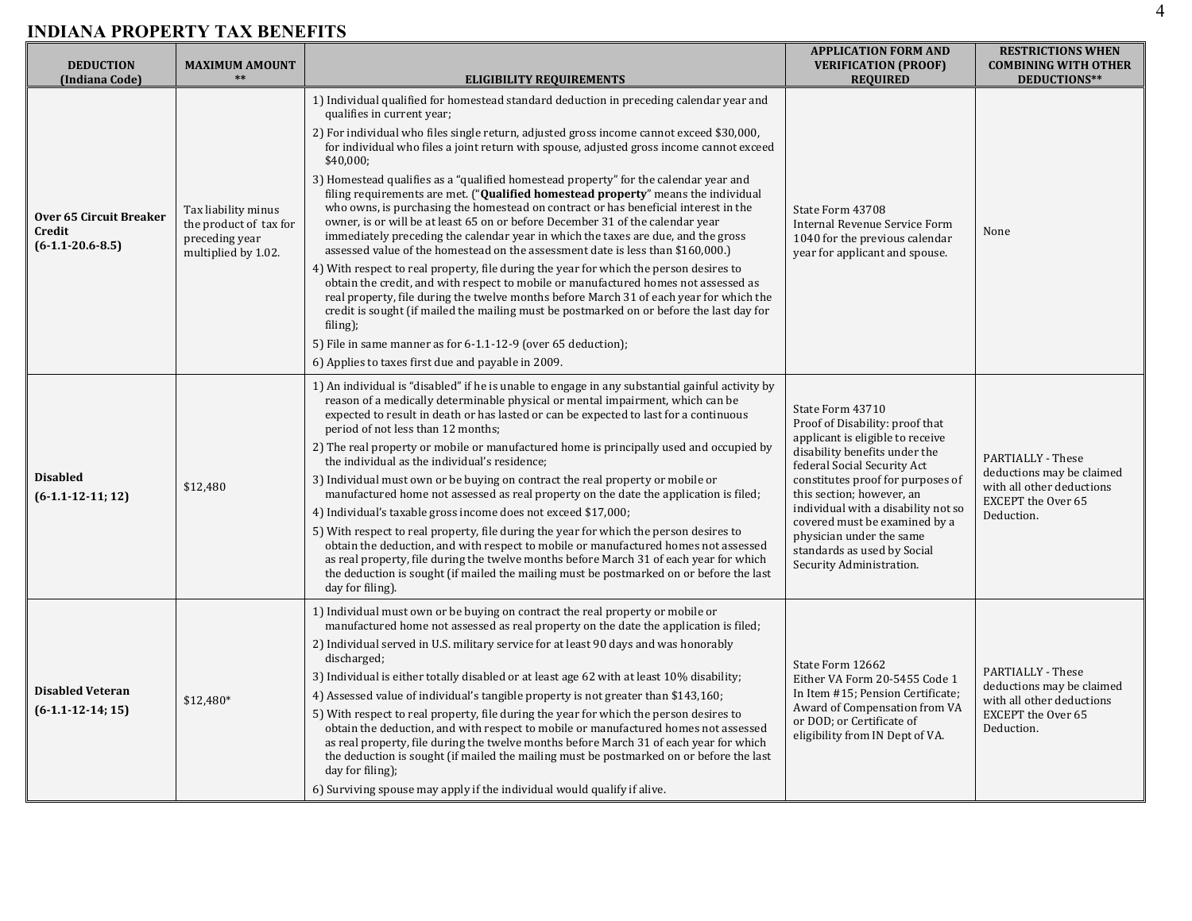| <b>DEDUCTION</b><br>(Indiana Code)                      | <b>MAXIMUM AMOUNT</b><br>$**$                                                          | <b>ELIGIBILITY REQUIREMENTS</b>                                                                                                                                                                                                                                                                                                                                                                                                                                                                                                                                                                                                                                                                                                                                                                                                                                                                                                                                                                                                                                                                                                                                                                                                                                                                                                                                     | <b>APPLICATION FORM AND</b><br><b>VERIFICATION (PROOF)</b><br><b>REQUIRED</b>                                                                                                                                                                                                                                                                                                            | <b>RESTRICTIONS WHEN</b><br><b>COMBINING WITH OTHER</b><br>DEDUCTIONS**                                                |
|---------------------------------------------------------|----------------------------------------------------------------------------------------|---------------------------------------------------------------------------------------------------------------------------------------------------------------------------------------------------------------------------------------------------------------------------------------------------------------------------------------------------------------------------------------------------------------------------------------------------------------------------------------------------------------------------------------------------------------------------------------------------------------------------------------------------------------------------------------------------------------------------------------------------------------------------------------------------------------------------------------------------------------------------------------------------------------------------------------------------------------------------------------------------------------------------------------------------------------------------------------------------------------------------------------------------------------------------------------------------------------------------------------------------------------------------------------------------------------------------------------------------------------------|------------------------------------------------------------------------------------------------------------------------------------------------------------------------------------------------------------------------------------------------------------------------------------------------------------------------------------------------------------------------------------------|------------------------------------------------------------------------------------------------------------------------|
| Over 65 Circuit Breaker<br>Credit<br>$(6-1.1-20.6-8.5)$ | Tax liability minus<br>the product of tax for<br>preceding year<br>multiplied by 1.02. | 1) Individual qualified for homestead standard deduction in preceding calendar year and<br>qualifies in current year;<br>2) For individual who files single return, adjusted gross income cannot exceed \$30,000,<br>for individual who files a joint return with spouse, adjusted gross income cannot exceed<br>\$40,000;<br>3) Homestead qualifies as a "qualified homestead property" for the calendar year and<br>filing requirements are met. ("Qualified homestead property" means the individual<br>who owns, is purchasing the homestead on contract or has beneficial interest in the<br>owner, is or will be at least 65 on or before December 31 of the calendar year<br>immediately preceding the calendar year in which the taxes are due, and the gross<br>assessed value of the homestead on the assessment date is less than \$160,000.)<br>4) With respect to real property, file during the year for which the person desires to<br>obtain the credit, and with respect to mobile or manufactured homes not assessed as<br>real property, file during the twelve months before March 31 of each year for which the<br>credit is sought (if mailed the mailing must be postmarked on or before the last day for<br>filing);<br>5) File in same manner as for 6-1.1-12-9 (over 65 deduction);<br>6) Applies to taxes first due and payable in 2009. | State Form 43708<br>Internal Revenue Service Form<br>1040 for the previous calendar<br>year for applicant and spouse.                                                                                                                                                                                                                                                                    | None                                                                                                                   |
| <b>Disabled</b><br>$(6-1.1-12-11; 12)$                  | \$12,480                                                                               | 1) An individual is "disabled" if he is unable to engage in any substantial gainful activity by<br>reason of a medically determinable physical or mental impairment, which can be<br>expected to result in death or has lasted or can be expected to last for a continuous<br>period of not less than 12 months;<br>2) The real property or mobile or manufactured home is principally used and occupied by<br>the individual as the individual's residence;<br>3) Individual must own or be buying on contract the real property or mobile or<br>manufactured home not assessed as real property on the date the application is filed;<br>4) Individual's taxable gross income does not exceed \$17,000;<br>5) With respect to real property, file during the year for which the person desires to<br>obtain the deduction, and with respect to mobile or manufactured homes not assessed<br>as real property, file during the twelve months before March 31 of each year for which<br>the deduction is sought (if mailed the mailing must be postmarked on or before the last<br>day for filing).                                                                                                                                                                                                                                                                 | State Form 43710<br>Proof of Disability: proof that<br>applicant is eligible to receive<br>disability benefits under the<br>federal Social Security Act<br>constitutes proof for purposes of<br>this section; however, an<br>individual with a disability not so<br>covered must be examined by a<br>physician under the same<br>standards as used by Social<br>Security Administration. | PARTIALLY - These<br>deductions may be claimed<br>with all other deductions<br>EXCEPT the Over 65<br>Deduction.        |
| <b>Disabled Veteran</b><br>$(6-1.1-12-14; 15)$          | \$12,480*                                                                              | 1) Individual must own or be buying on contract the real property or mobile or<br>manufactured home not assessed as real property on the date the application is filed;<br>2) Individual served in U.S. military service for at least 90 days and was honorably<br>discharged;<br>3) Individual is either totally disabled or at least age 62 with at least 10% disability;<br>4) Assessed value of individual's tangible property is not greater than \$143,160;<br>5) With respect to real property, file during the year for which the person desires to<br>obtain the deduction, and with respect to mobile or manufactured homes not assessed<br>as real property, file during the twelve months before March 31 of each year for which<br>the deduction is sought (if mailed the mailing must be postmarked on or before the last<br>day for filing);<br>6) Surviving spouse may apply if the individual would qualify if alive.                                                                                                                                                                                                                                                                                                                                                                                                                              | State Form 12662<br>Either VA Form 20-5455 Code 1<br>In Item #15; Pension Certificate;<br>Award of Compensation from VA<br>or DOD; or Certificate of<br>eligibility from IN Dept of VA.                                                                                                                                                                                                  | PARTIALLY - These<br>deductions may be claimed<br>with all other deductions<br><b>EXCEPT</b> the Over 65<br>Deduction. |